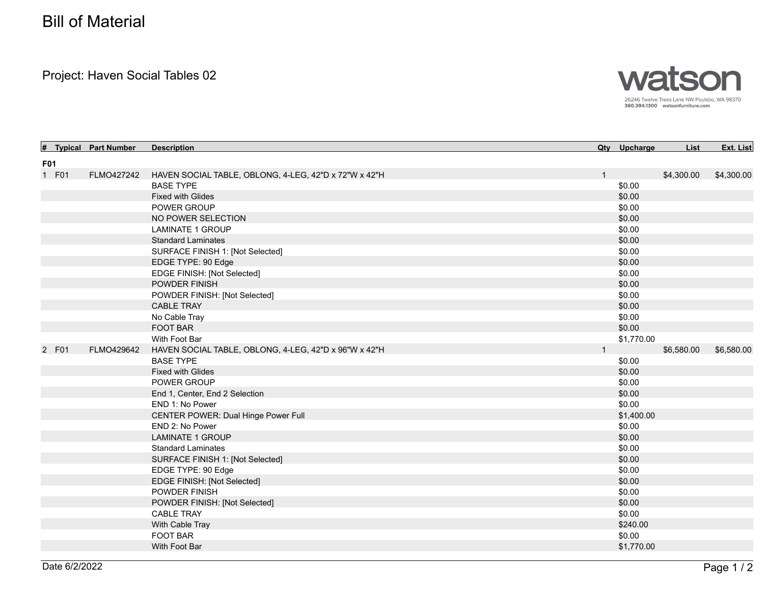## Bill of Material

Project: Haven Social Tables 02



| Ħ.         | <b>Typical Part Number</b> | <b>Description</b>                                    |              | Qty Upcharge | List       | Ext. List  |
|------------|----------------------------|-------------------------------------------------------|--------------|--------------|------------|------------|
| <b>F01</b> |                            |                                                       |              |              |            |            |
| 1 F01      | FLMO427242                 | HAVEN SOCIAL TABLE, OBLONG, 4-LEG, 42"D x 72"W x 42"H | $\mathbf{1}$ |              | \$4,300.00 | \$4,300.00 |
|            |                            | <b>BASE TYPE</b>                                      |              | \$0.00       |            |            |
|            |                            | <b>Fixed with Glides</b>                              |              | \$0.00       |            |            |
|            |                            | <b>POWER GROUP</b>                                    |              | \$0.00       |            |            |
|            |                            | NO POWER SELECTION                                    |              | \$0.00       |            |            |
|            |                            | <b>LAMINATE 1 GROUP</b>                               |              | \$0.00       |            |            |
|            |                            | <b>Standard Laminates</b>                             |              | \$0.00       |            |            |
|            |                            | SURFACE FINISH 1: [Not Selected]                      |              | \$0.00       |            |            |
|            |                            | EDGE TYPE: 90 Edge                                    |              | \$0.00       |            |            |
|            |                            | EDGE FINISH: [Not Selected]                           |              | \$0.00       |            |            |
|            |                            | POWDER FINISH                                         |              | \$0.00       |            |            |
|            |                            | POWDER FINISH: [Not Selected]                         |              | \$0.00       |            |            |
|            |                            | <b>CABLE TRAY</b>                                     |              | \$0.00       |            |            |
|            |                            | No Cable Tray                                         |              | \$0.00       |            |            |
|            |                            | <b>FOOT BAR</b>                                       |              | \$0.00       |            |            |
|            |                            | With Foot Bar                                         |              | \$1,770.00   |            |            |
| 2 F01      | FLMO429642                 | HAVEN SOCIAL TABLE, OBLONG, 4-LEG, 42"D x 96"W x 42"H |              |              | \$6,580.00 | \$6,580.00 |
|            |                            | <b>BASE TYPE</b>                                      |              | \$0.00       |            |            |
|            |                            | <b>Fixed with Glides</b>                              |              | \$0.00       |            |            |
|            |                            | POWER GROUP                                           |              | \$0.00       |            |            |
|            |                            | End 1, Center, End 2 Selection                        |              | \$0.00       |            |            |
|            |                            | END 1: No Power                                       |              | \$0.00       |            |            |
|            |                            | <b>CENTER POWER: Dual Hinge Power Full</b>            |              | \$1,400.00   |            |            |
|            |                            | END 2: No Power                                       |              | \$0.00       |            |            |
|            |                            | <b>LAMINATE 1 GROUP</b>                               |              | \$0.00       |            |            |
|            |                            | <b>Standard Laminates</b>                             |              | \$0.00       |            |            |
|            |                            | SURFACE FINISH 1: [Not Selected]                      |              | \$0.00       |            |            |
|            |                            | EDGE TYPE: 90 Edge                                    |              | \$0.00       |            |            |
|            |                            | EDGE FINISH: [Not Selected]                           |              | \$0.00       |            |            |
|            |                            | POWDER FINISH                                         |              | \$0.00       |            |            |
|            |                            | POWDER FINISH: [Not Selected]                         |              | \$0.00       |            |            |
|            |                            | <b>CABLE TRAY</b>                                     |              | \$0.00       |            |            |
|            |                            | With Cable Tray                                       |              | \$240.00     |            |            |
|            |                            | <b>FOOT BAR</b>                                       |              | \$0.00       |            |            |
|            |                            | With Foot Bar                                         |              | \$1,770.00   |            |            |
|            |                            |                                                       |              |              |            |            |